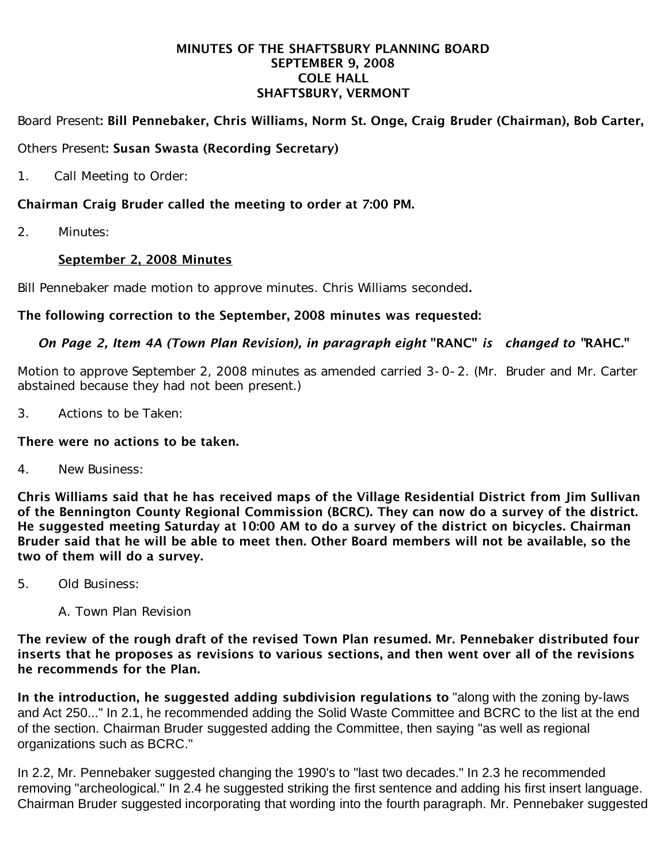#### MINUTES OF THE SHAFTSBURY PLANNING BOARD SEPTEMBER 9, 2008 COLE HALL SHAFTSBURY, VERMONT

### Board Present: Bill Pennebaker, Chris Williams, Norm St. Onge, Craig Bruder (Chairman), Bob Carter,

#### Others Present: Susan Swasta (Recording Secretary)

1. Call Meeting to Order:

# Chairman Craig Bruder called the meeting to order at 7:00 PM.

2. Minutes:

### September 2, 2008 Minutes

Bill Pennebaker made motion to approve minutes. Chris Williams seconded.

### The following correction to the September, 2008 minutes was requested:

# *On Page 2, Item 4A (Town Plan Revision), in paragraph eight* "RANC" *is changed to "*RAHC."

Motion to approve September 2, 2008 minutes as amended carried 3-0-2. (Mr. Bruder and Mr. Carter abstained because they had not been present.)

3. Actions to be Taken:

#### There were no actions to be taken.

4. New Business:

Chris Williams said that he has received maps of the Village Residential District from Jim Sullivan of the Bennington County Regional Commission (BCRC). They can now do a survey of the district. He suggested meeting Saturday at 10:00 AM to do a survey of the district on bicycles. Chairman Bruder said that he will be able to meet then. Other Board members will not be available, so the two of them will do a survey.

- 5. Old Business:
	- A. Town Plan Revision

The review of the rough draft of the revised Town Plan resumed. Mr. Pennebaker distributed four inserts that he proposes as revisions to various sections, and then went over all of the revisions he recommends for the Plan.

In the introduction, he suggested adding subdivision regulations to "along with the zoning by-laws and Act 250..." In 2.1, he recommended adding the Solid Waste Committee and BCRC to the list at the end of the section. Chairman Bruder suggested adding the Committee, then saying "as well as regional organizations such as BCRC."

In 2.2, Mr. Pennebaker suggested changing the 1990's to "last two decades." In 2.3 he recommended removing "archeological." In 2.4 he suggested striking the first sentence and adding his first insert language. Chairman Bruder suggested incorporating that wording into the fourth paragraph. Mr. Pennebaker suggested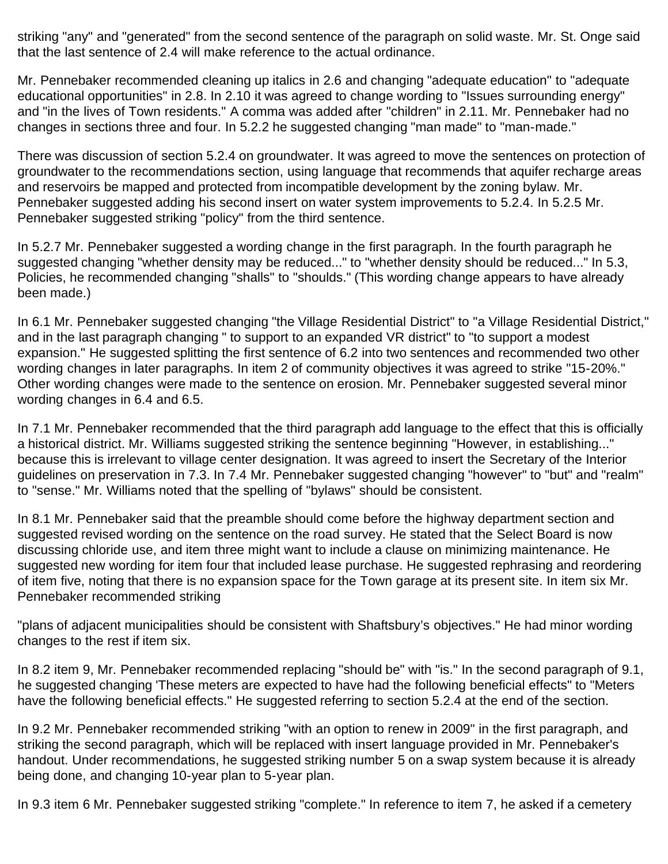striking "any" and "generated" from the second sentence of the paragraph on solid waste. Mr. St. Onge said that the last sentence of 2.4 will make reference to the actual ordinance.

Mr. Pennebaker recommended cleaning up italics in 2.6 and changing "adequate education" to "adequate educational opportunities" in 2.8. In 2.10 it was agreed to change wording to "Issues surrounding energy" and "in the lives of Town residents." A comma was added after "children" in 2.11. Mr. Pennebaker had no changes in sections three and four. In 5.2.2 he suggested changing "man made" to "man-made."

There was discussion of section 5.2.4 on groundwater. It was agreed to move the sentences on protection of groundwater to the recommendations section, using language that recommends that aquifer recharge areas and reservoirs be mapped and protected from incompatible development by the zoning bylaw. Mr. Pennebaker suggested adding his second insert on water system improvements to 5.2.4. In 5.2.5 Mr. Pennebaker suggested striking "policy" from the third sentence.

In 5.2.7 Mr. Pennebaker suggested a wording change in the first paragraph. In the fourth paragraph he suggested changing "whether density may be reduced..." to "whether density should be reduced..." In 5.3, Policies, he recommended changing "shalls" to "shoulds." (This wording change appears to have already been made.)

In 6.1 Mr. Pennebaker suggested changing "the Village Residential District" to "a Village Residential District," and in the last paragraph changing " to support to an expanded VR district" to "to support a modest expansion." He suggested splitting the first sentence of 6.2 into two sentences and recommended two other wording changes in later paragraphs. In item 2 of community objectives it was agreed to strike "15-20%." Other wording changes were made to the sentence on erosion. Mr. Pennebaker suggested several minor wording changes in 6.4 and 6.5.

In 7.1 Mr. Pennebaker recommended that the third paragraph add language to the effect that this is officially a historical district. Mr. Williams suggested striking the sentence beginning "However, in establishing..." because this is irrelevant to village center designation. It was agreed to insert the Secretary of the Interior guidelines on preservation in 7.3. In 7.4 Mr. Pennebaker suggested changing "however" to "but" and "realm" to "sense." Mr. Williams noted that the spelling of "bylaws" should be consistent.

In 8.1 Mr. Pennebaker said that the preamble should come before the highway department section and suggested revised wording on the sentence on the road survey. He stated that the Select Board is now discussing chloride use, and item three might want to include a clause on minimizing maintenance. He suggested new wording for item four that included lease purchase. He suggested rephrasing and reordering of item five, noting that there is no expansion space for the Town garage at its present site. In item six Mr. Pennebaker recommended striking

"plans of adjacent municipalities should be consistent with Shaftsbury's objectives." He had minor wording changes to the rest if item six.

In 8.2 item 9, Mr. Pennebaker recommended replacing "should be" with "is." In the second paragraph of 9.1, he suggested changing 'These meters are expected to have had the following beneficial effects" to "Meters have the following beneficial effects." He suggested referring to section 5.2.4 at the end of the section.

In 9.2 Mr. Pennebaker recommended striking "with an option to renew in 2009" in the first paragraph, and striking the second paragraph, which will be replaced with insert language provided in Mr. Pennebaker's handout. Under recommendations, he suggested striking number 5 on a swap system because it is already being done, and changing 10-year plan to 5-year plan.

In 9.3 item 6 Mr. Pennebaker suggested striking "complete." In reference to item 7, he asked if a cemetery